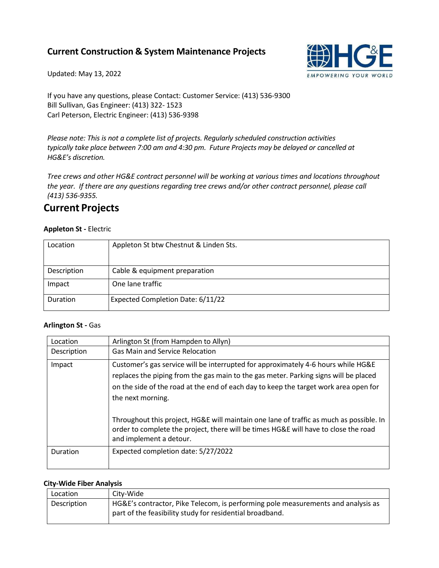## **Current Construction & System Maintenance Projects**

Updated: May 13, 2022



If you have any questions, please Contact: Customer Service: (413) 536-9300 Bill Sullivan, Gas Engineer: (413) 322- 1523 Carl Peterson, Electric Engineer: (413) 536-9398

*Please note: This is not a complete list of projects. Regularly scheduled construction activities typically take place between 7:00 am and 4:30 pm. Future Projects may be delayed or cancelled at HG&E's discretion.*

*Tree crews and other HG&E contract personnel will be working at various times and locations throughout the year. If there are any questions regarding tree crews and/or other contract personnel, please call (413) 536-9355.*

## **Current Projects**

### **Appleton St -** Electric

| Location    | Appleton St btw Chestnut & Linden Sts. |
|-------------|----------------------------------------|
| Description | Cable & equipment preparation          |
| Impact      | One lane traffic                       |
| Duration    | Expected Completion Date: 6/11/22      |

### **Arlington St -** Gas

| Location    | Arlington St (from Hampden to Allyn)                                                                                                                                                                                                                                                                                                                                              |
|-------------|-----------------------------------------------------------------------------------------------------------------------------------------------------------------------------------------------------------------------------------------------------------------------------------------------------------------------------------------------------------------------------------|
| Description | <b>Gas Main and Service Relocation</b>                                                                                                                                                                                                                                                                                                                                            |
| Impact      | Customer's gas service will be interrupted for approximately 4-6 hours while HG&E<br>replaces the piping from the gas main to the gas meter. Parking signs will be placed<br>on the side of the road at the end of each day to keep the target work area open for<br>the next morning.<br>Throughout this project, HG&E will maintain one lane of traffic as much as possible. In |
|             | order to complete the project, there will be times HG&E will have to close the road<br>and implement a detour.                                                                                                                                                                                                                                                                    |
| Duration    | Expected completion date: 5/27/2022                                                                                                                                                                                                                                                                                                                                               |

#### **City-Wide Fiber Analysis**

| Location    | City-Wide                                                                                                                                    |
|-------------|----------------------------------------------------------------------------------------------------------------------------------------------|
| Description | HG&E's contractor, Pike Telecom, is performing pole measurements and analysis as<br>part of the feasibility study for residential broadband. |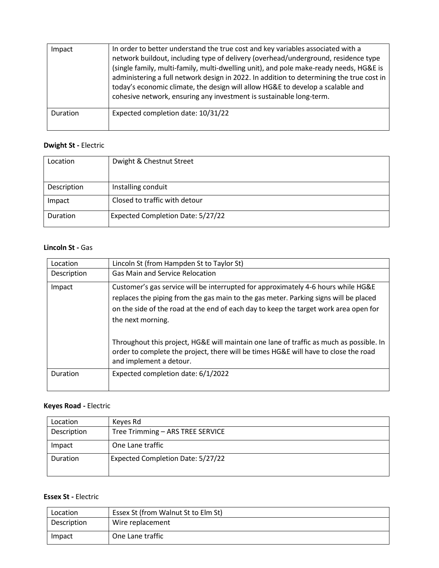| Impact   | In order to better understand the true cost and key variables associated with a<br>network buildout, including type of delivery (overhead/underground, residence type<br>(single family, multi-family, multi-dwelling unit), and pole make-ready needs, HG&E is<br>administering a full network design in 2022. In addition to determining the true cost in<br>today's economic climate, the design will allow HG&E to develop a scalable and<br>cohesive network, ensuring any investment is sustainable long-term. |
|----------|----------------------------------------------------------------------------------------------------------------------------------------------------------------------------------------------------------------------------------------------------------------------------------------------------------------------------------------------------------------------------------------------------------------------------------------------------------------------------------------------------------------------|
| Duration | Expected completion date: 10/31/22                                                                                                                                                                                                                                                                                                                                                                                                                                                                                   |

## **Dwight St -** Electric

| Location    | Dwight & Chestnut Street          |
|-------------|-----------------------------------|
|             |                                   |
| Description | Installing conduit                |
| Impact      | Closed to traffic with detour     |
| Duration    | Expected Completion Date: 5/27/22 |

### **Lincoln St -** Gas

| Location    | Lincoln St (from Hampden St to Taylor St)                                                                                                                                                                                                                                                                                                                                                                                                                                |
|-------------|--------------------------------------------------------------------------------------------------------------------------------------------------------------------------------------------------------------------------------------------------------------------------------------------------------------------------------------------------------------------------------------------------------------------------------------------------------------------------|
| Description | <b>Gas Main and Service Relocation</b>                                                                                                                                                                                                                                                                                                                                                                                                                                   |
| Impact      | Customer's gas service will be interrupted for approximately 4-6 hours while HG&E<br>replaces the piping from the gas main to the gas meter. Parking signs will be placed<br>on the side of the road at the end of each day to keep the target work area open for<br>the next morning.<br>Throughout this project, HG&E will maintain one lane of traffic as much as possible. In<br>order to complete the project, there will be times HG&E will have to close the road |
|             | and implement a detour.                                                                                                                                                                                                                                                                                                                                                                                                                                                  |
| Duration    | Expected completion date: 6/1/2022                                                                                                                                                                                                                                                                                                                                                                                                                                       |

### **Keyes Road -** Electric

| Location    | Keyes Rd                                 |
|-------------|------------------------------------------|
| Description | Tree Trimming - ARS TREE SERVICE         |
| Impact      | One Lane traffic                         |
| Duration    | <b>Expected Completion Date: 5/27/22</b> |

### **Essex St -** Electric

| Location    | Essex St (from Walnut St to Elm St) |
|-------------|-------------------------------------|
| Description | Wire replacement                    |
| Impact      | One Lane traffic                    |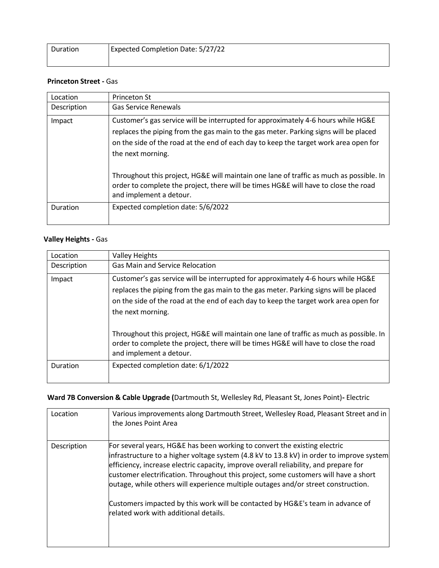| Duration | Expected Completion Date: 5/27/22 |
|----------|-----------------------------------|
|          |                                   |

### **Princeton Street -** Gas

| Location    | <b>Princeton St</b>                                                                                                                                                                                                                                                                                                                                                                                                                                                                                 |
|-------------|-----------------------------------------------------------------------------------------------------------------------------------------------------------------------------------------------------------------------------------------------------------------------------------------------------------------------------------------------------------------------------------------------------------------------------------------------------------------------------------------------------|
| Description | <b>Gas Service Renewals</b>                                                                                                                                                                                                                                                                                                                                                                                                                                                                         |
| Impact      | Customer's gas service will be interrupted for approximately 4-6 hours while HG&E<br>replaces the piping from the gas main to the gas meter. Parking signs will be placed<br>on the side of the road at the end of each day to keep the target work area open for<br>the next morning.<br>Throughout this project, HG&E will maintain one lane of traffic as much as possible. In<br>order to complete the project, there will be times HG&E will have to close the road<br>and implement a detour. |
| Duration    | Expected completion date: 5/6/2022                                                                                                                                                                                                                                                                                                                                                                                                                                                                  |

### **Valley Heights -** Gas

| Location    | <b>Valley Heights</b>                                                                                                                                                                                                                                                                                                                                                                                                                                                                               |
|-------------|-----------------------------------------------------------------------------------------------------------------------------------------------------------------------------------------------------------------------------------------------------------------------------------------------------------------------------------------------------------------------------------------------------------------------------------------------------------------------------------------------------|
| Description | <b>Gas Main and Service Relocation</b>                                                                                                                                                                                                                                                                                                                                                                                                                                                              |
| Impact      | Customer's gas service will be interrupted for approximately 4-6 hours while HG&E<br>replaces the piping from the gas main to the gas meter. Parking signs will be placed<br>on the side of the road at the end of each day to keep the target work area open for<br>the next morning.<br>Throughout this project, HG&E will maintain one lane of traffic as much as possible. In<br>order to complete the project, there will be times HG&E will have to close the road<br>and implement a detour. |
| Duration    | Expected completion date: 6/1/2022                                                                                                                                                                                                                                                                                                                                                                                                                                                                  |

## **Ward 7B Conversion & Cable Upgrade (**Dartmouth St, Wellesley Rd, Pleasant St, Jones Point)**-** Electric

| Location    | Various improvements along Dartmouth Street, Wellesley Road, Pleasant Street and in<br>the Jones Point Area                                                                                                                                                                                                                                                                                                                                                                                                                                                          |
|-------------|----------------------------------------------------------------------------------------------------------------------------------------------------------------------------------------------------------------------------------------------------------------------------------------------------------------------------------------------------------------------------------------------------------------------------------------------------------------------------------------------------------------------------------------------------------------------|
| Description | For several years, HG&E has been working to convert the existing electric<br>infrastructure to a higher voltage system (4.8 kV to 13.8 kV) in order to improve system<br>efficiency, increase electric capacity, improve overall reliability, and prepare for<br>customer electrification. Throughout this project, some customers will have a short<br>outage, while others will experience multiple outages and/or street construction.<br>Customers impacted by this work will be contacted by HG&E's team in advance of<br>related work with additional details. |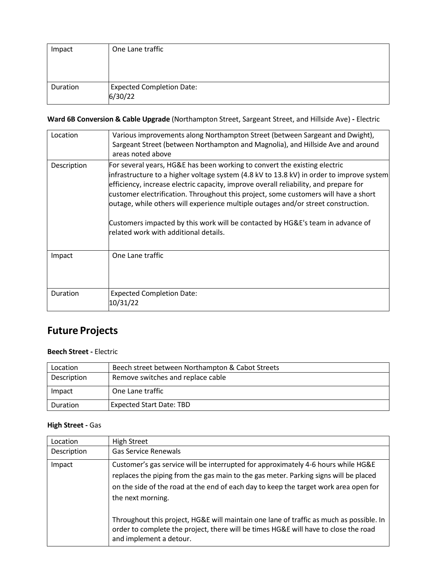| Impact   | One Lane traffic                 |
|----------|----------------------------------|
|          |                                  |
|          |                                  |
|          |                                  |
| Duration | <b>Expected Completion Date:</b> |
|          | 6/30/22                          |

**Ward 6B Conversion & Cable Upgrade** (Northampton Street, Sargeant Street, and Hillside Ave) **-** Electric

| Location    | Various improvements along Northampton Street (between Sargeant and Dwight),<br>Sargeant Street (between Northampton and Magnolia), and Hillside Ave and around<br>areas noted above                                                                                                                                                                                                                                                                                                                                                                                  |
|-------------|-----------------------------------------------------------------------------------------------------------------------------------------------------------------------------------------------------------------------------------------------------------------------------------------------------------------------------------------------------------------------------------------------------------------------------------------------------------------------------------------------------------------------------------------------------------------------|
| Description | For several years, HG&E has been working to convert the existing electric<br> infrastructure to a higher voltage system (4.8 kV to 13.8 kV) in order to improve system<br>efficiency, increase electric capacity, improve overall reliability, and prepare for<br>customer electrification. Throughout this project, some customers will have a short<br>outage, while others will experience multiple outages and/or street construction.<br>Customers impacted by this work will be contacted by HG&E's team in advance of<br>related work with additional details. |
| Impact      | One Lane traffic                                                                                                                                                                                                                                                                                                                                                                                                                                                                                                                                                      |
| Duration    | <b>Expected Completion Date:</b><br>10/31/22                                                                                                                                                                                                                                                                                                                                                                                                                                                                                                                          |

# **Future Projects**

### **Beech Street -** Electric

| Location    | Beech street between Northampton & Cabot Streets |
|-------------|--------------------------------------------------|
| Description | Remove switches and replace cable                |
| Impact      | One Lane traffic                                 |
| Duration    | <b>Expected Start Date: TBD</b>                  |

## **High Street -** Gas

| Location    | <b>High Street</b>                                                                                                                                                                                                                                                                     |
|-------------|----------------------------------------------------------------------------------------------------------------------------------------------------------------------------------------------------------------------------------------------------------------------------------------|
| Description | <b>Gas Service Renewals</b>                                                                                                                                                                                                                                                            |
| Impact      | Customer's gas service will be interrupted for approximately 4-6 hours while HG&E<br>replaces the piping from the gas main to the gas meter. Parking signs will be placed<br>on the side of the road at the end of each day to keep the target work area open for<br>the next morning. |
|             | Throughout this project, HG&E will maintain one lane of traffic as much as possible. In<br>order to complete the project, there will be times HG&E will have to close the road<br>and implement a detour.                                                                              |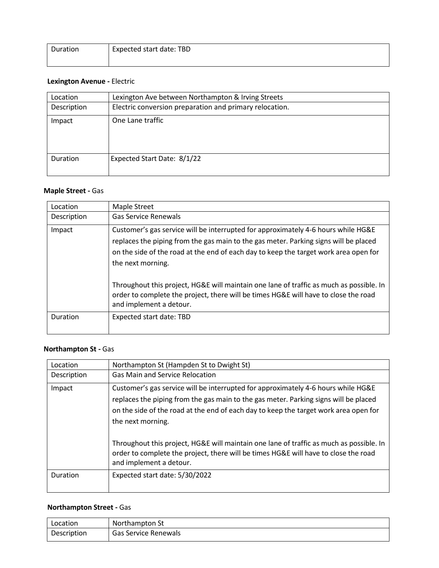| Duration | Expected start date: TBD |
|----------|--------------------------|
|          |                          |

## **Lexington Avenue -** Electric

| Location    | Lexington Ave between Northampton & Irving Streets      |
|-------------|---------------------------------------------------------|
| Description | Electric conversion preparation and primary relocation. |
| Impact      | One Lane traffic                                        |
| Duration    | Expected Start Date: 8/1/22                             |

## **Maple Street -** Gas

| Location    | Maple Street                                                                                                                                                                                                                                                                           |
|-------------|----------------------------------------------------------------------------------------------------------------------------------------------------------------------------------------------------------------------------------------------------------------------------------------|
| Description | <b>Gas Service Renewals</b>                                                                                                                                                                                                                                                            |
| Impact      | Customer's gas service will be interrupted for approximately 4-6 hours while HG&E<br>replaces the piping from the gas main to the gas meter. Parking signs will be placed<br>on the side of the road at the end of each day to keep the target work area open for<br>the next morning. |
|             | Throughout this project, HG&E will maintain one lane of traffic as much as possible. In<br>order to complete the project, there will be times HG&E will have to close the road<br>and implement a detour.                                                                              |
| Duration    | Expected start date: TBD                                                                                                                                                                                                                                                               |

## **Northampton St -** Gas

| Location    | Northampton St (Hampden St to Dwight St)                                                                                                                                                                                                                                               |
|-------------|----------------------------------------------------------------------------------------------------------------------------------------------------------------------------------------------------------------------------------------------------------------------------------------|
| Description | <b>Gas Main and Service Relocation</b>                                                                                                                                                                                                                                                 |
| Impact      | Customer's gas service will be interrupted for approximately 4-6 hours while HG&E<br>replaces the piping from the gas main to the gas meter. Parking signs will be placed<br>on the side of the road at the end of each day to keep the target work area open for<br>the next morning. |
|             | Throughout this project, HG&E will maintain one lane of traffic as much as possible. In<br>order to complete the project, there will be times HG&E will have to close the road<br>and implement a detour.                                                                              |
| Duration    | Expected start date: 5/30/2022                                                                                                                                                                                                                                                         |

## **Northampton Street -** Gas

| Location    | Northampton St       |
|-------------|----------------------|
| Description | Gas Service Renewals |